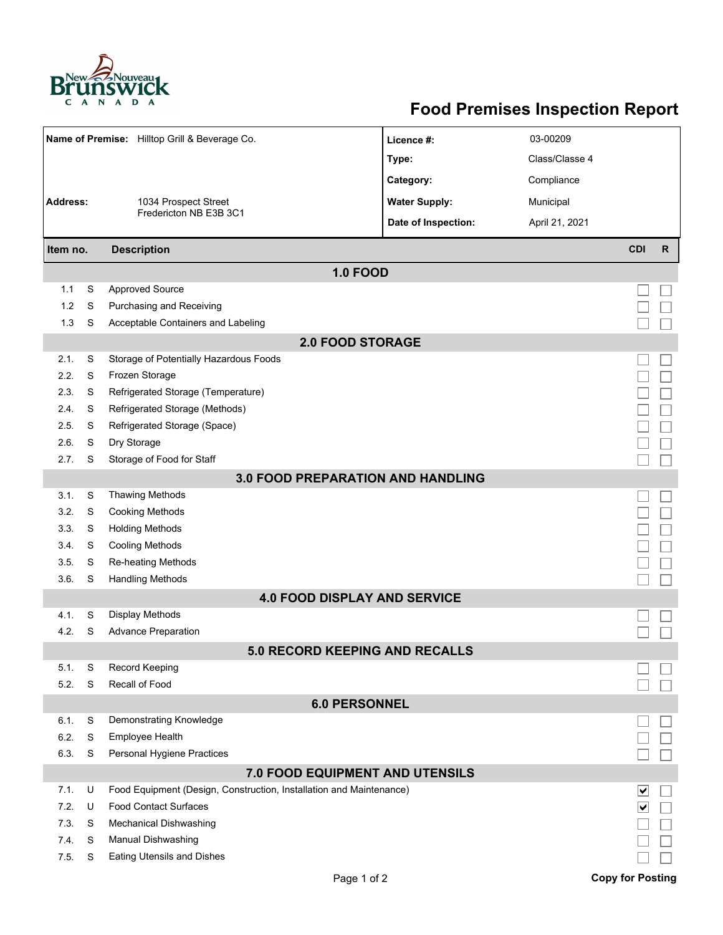

## **Food Premises Inspection Report**

| Name of Premise: Hilltop Grill & Beverage Co. |   |                                                                     | Licence #:           | 03-00209       |                             |              |  |  |  |  |
|-----------------------------------------------|---|---------------------------------------------------------------------|----------------------|----------------|-----------------------------|--------------|--|--|--|--|
|                                               |   |                                                                     | Type:                | Class/Classe 4 |                             |              |  |  |  |  |
|                                               |   |                                                                     | Category:            | Compliance     |                             |              |  |  |  |  |
| <b>Address:</b><br>1034 Prospect Street       |   |                                                                     | <b>Water Supply:</b> | Municipal      |                             |              |  |  |  |  |
|                                               |   | Fredericton NB E3B 3C1                                              |                      |                |                             |              |  |  |  |  |
|                                               |   |                                                                     | Date of Inspection:  | April 21, 2021 |                             |              |  |  |  |  |
| <b>Description</b><br>Item no.                |   |                                                                     |                      |                | <b>CDI</b>                  | $\mathsf{R}$ |  |  |  |  |
| <b>1.0 FOOD</b>                               |   |                                                                     |                      |                |                             |              |  |  |  |  |
| 1.1                                           | S | <b>Approved Source</b>                                              |                      |                |                             |              |  |  |  |  |
| 1.2                                           | S | Purchasing and Receiving                                            |                      |                |                             |              |  |  |  |  |
| 1.3                                           | S | Acceptable Containers and Labeling                                  |                      |                |                             |              |  |  |  |  |
| <b>2.0 FOOD STORAGE</b>                       |   |                                                                     |                      |                |                             |              |  |  |  |  |
| 2.1.                                          | S | Storage of Potentially Hazardous Foods                              |                      |                |                             |              |  |  |  |  |
| 2.2.                                          | S | Frozen Storage                                                      |                      |                |                             |              |  |  |  |  |
| 2.3.                                          | S | Refrigerated Storage (Temperature)                                  |                      |                |                             |              |  |  |  |  |
| 2.4.                                          | S | Refrigerated Storage (Methods)                                      |                      |                |                             |              |  |  |  |  |
| 2.5.                                          | S | Refrigerated Storage (Space)                                        |                      |                |                             |              |  |  |  |  |
| 2.6.                                          | S | Dry Storage                                                         |                      |                |                             |              |  |  |  |  |
| 2.7.                                          | S | Storage of Food for Staff                                           |                      |                |                             |              |  |  |  |  |
| <b>3.0 FOOD PREPARATION AND HANDLING</b>      |   |                                                                     |                      |                |                             |              |  |  |  |  |
| 3.1.                                          | S | <b>Thawing Methods</b>                                              |                      |                |                             |              |  |  |  |  |
| 3.2.                                          | S | <b>Cooking Methods</b>                                              |                      |                |                             |              |  |  |  |  |
| 3.3.                                          | S | <b>Holding Methods</b>                                              |                      |                |                             |              |  |  |  |  |
| 3.4.                                          | S | <b>Cooling Methods</b>                                              |                      |                |                             |              |  |  |  |  |
| 3.5.                                          | S | <b>Re-heating Methods</b>                                           |                      |                |                             |              |  |  |  |  |
| 3.6.                                          | S | <b>Handling Methods</b>                                             |                      |                |                             |              |  |  |  |  |
|                                               |   | <b>4.0 FOOD DISPLAY AND SERVICE</b>                                 |                      |                |                             |              |  |  |  |  |
| 4.1.                                          | S | <b>Display Methods</b>                                              |                      |                |                             |              |  |  |  |  |
| 4.2.                                          | S | <b>Advance Preparation</b>                                          |                      |                |                             |              |  |  |  |  |
| <b>5.0 RECORD KEEPING AND RECALLS</b>         |   |                                                                     |                      |                |                             |              |  |  |  |  |
| 5.1.                                          | S | Record Keeping                                                      |                      |                |                             |              |  |  |  |  |
| 5.2.                                          | S | Recall of Food                                                      |                      |                |                             |              |  |  |  |  |
| <b>6.0 PERSONNEL</b>                          |   |                                                                     |                      |                |                             |              |  |  |  |  |
| 6.1.                                          | S | Demonstrating Knowledge                                             |                      |                |                             |              |  |  |  |  |
| 6.2.                                          | S | <b>Employee Health</b>                                              |                      |                |                             |              |  |  |  |  |
| 6.3.                                          | S | Personal Hygiene Practices                                          |                      |                |                             |              |  |  |  |  |
| 7.0 FOOD EQUIPMENT AND UTENSILS               |   |                                                                     |                      |                |                             |              |  |  |  |  |
| 7.1.                                          | U | Food Equipment (Design, Construction, Installation and Maintenance) |                      |                | ∣∨                          |              |  |  |  |  |
| 7.2.                                          | U | <b>Food Contact Surfaces</b>                                        |                      |                | $\vert\bm{\mathsf{v}}\vert$ |              |  |  |  |  |
| 7.3                                           | S | Mechanical Dishwashing                                              |                      |                |                             |              |  |  |  |  |
| 7.4.                                          | S | Manual Dishwashing                                                  |                      |                |                             |              |  |  |  |  |
| 7.5.                                          | S | <b>Eating Utensils and Dishes</b>                                   |                      |                |                             |              |  |  |  |  |
|                                               |   | Page 1 of 2                                                         |                      |                | <b>Copy for Posting</b>     |              |  |  |  |  |